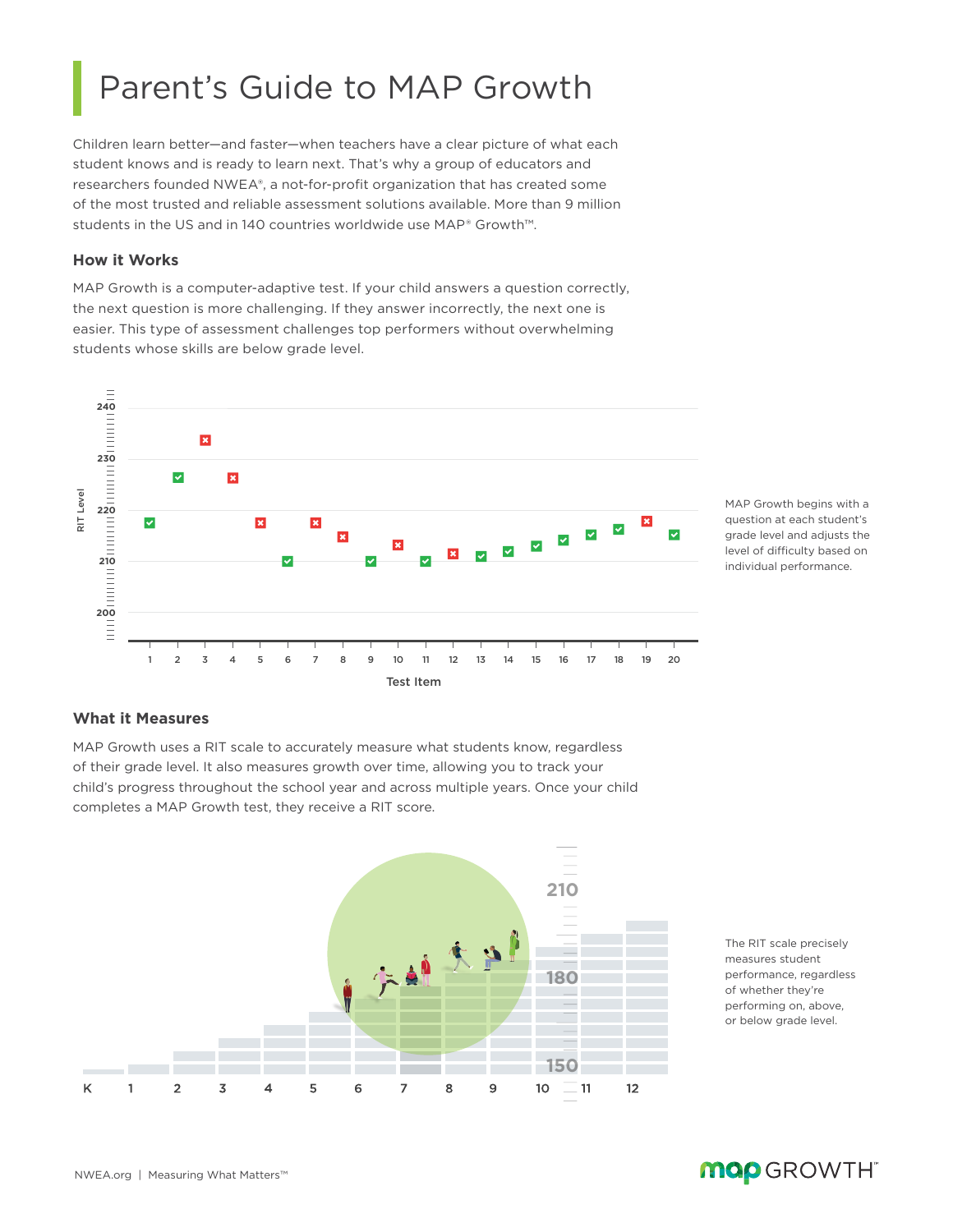# Parent's Guide to MAP Growth

Children learn better—and faster—when teachers have a clear picture of what each student knows and is ready to learn next. That's why a group of educators and researchers founded NWEA®, a not-for-profit organization that has created some of the most trusted and reliable assessment solutions available. More than 9 million students in the US and in 140 countries worldwide use MAP® Growth™.

### **How it Works**

MAP Growth is a computer-adaptive test. If your child answers a question correctly, the next question is more challenging. If they answer incorrectly, the next one is easier. This type of assessment challenges top performers without overwhelming students whose skills are below grade level.



MAP Growth begins with a question at each student's grade level and adjusts the level of difficulty based on individual performance.

### **What it Measures**

MAP Growth uses a RIT scale to accurately measure what students know, regardless of their grade level. It also measures growth over time, allowing you to track your child's progress throughout the school year and across multiple years. Once your child completes a MAP Growth test, they receive a RIT score.



The RIT scale precisely measures student performance, regardless of whether they're performing on, above, or below grade level.

### NWEA.org | Measuring What Matters™

# **MOD** GROWTH